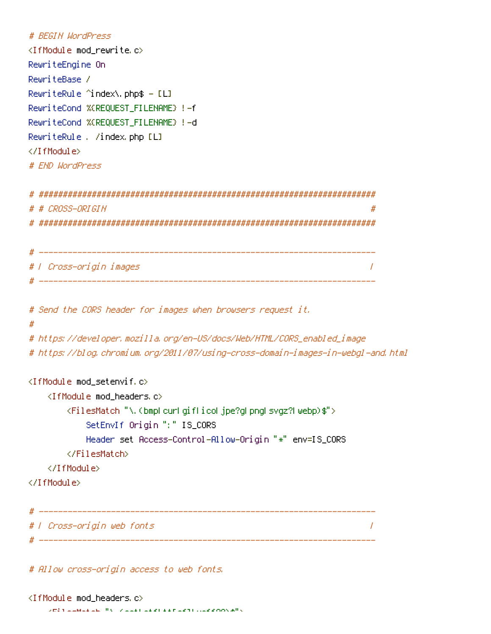```
# BEGIN WordPress
<IfModule mod rewrite.c>
RewriteEngine On
RewriteBase /
RewriteRule ^index\.php$ - [L]
RewriteCond %(REQUEST_FILENAME) !- f
RewriteCond %(REQUEST FILENAME) !- d
RewriteRule . /index.php [L]
</TfModule>
# FND WordPress
# # CROSS-ORIGIN
                                                 ## | Cross-origin images
                                                 \prime# Send the CORS header for images when browsers request it.
\boldsymbol{\#}# https://developer.mozilla.org/en-US/docs/Web/HTML/CORS_enabled_image
# https://blog.chromium.org/2011/07/using-cross-domain-images-in-webgl-and.html
<IfModule mod_setenvif.c>
  <IfModule mod_headers.c>
     <FilesMatch "\.(bmpLcurLgifLicoLjpe?gLpngLsvgz?Lwebp)$">
        SetEnvIf Origin ":" IS_CORS
        Header set Access-Control-Allow-Origin "*" env=IS_CORS
     </FilesMatch>
  </TfModule>
</TifModule>
# | Cross-origin web fonts
                                                 \prime# ________________
```
# Allow cross-origin access to web fonts.

 $\sqrt{15}$  ) is a model with  $\frac{10}{2}$  (  $\sqrt{15}$  and  $\sqrt{15}$  ) is a model  $\sqrt{15}$  (  $\sqrt{15}$  )  $\sqrt{15}$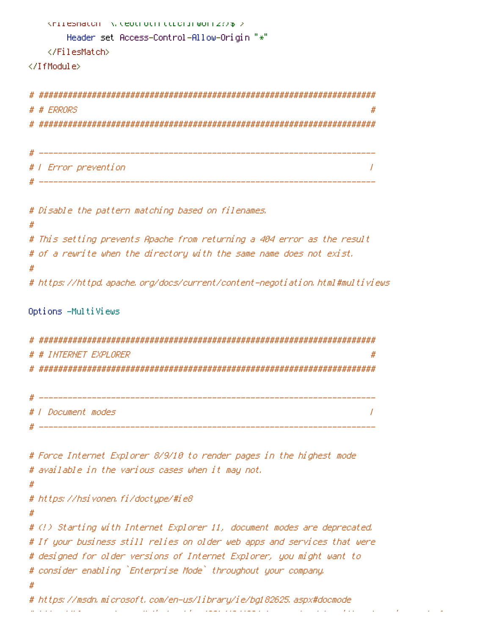```
Knilesmatch A. Ceotroth ttlchirworr277% >
   Header set Access-Control-Allow-Origin "*"
 </FilesMatch>
</IfModule>
# ERRORS
# | Error prevention
# Disable the pattern matching based on filenames.
```
 $#$ 

 $\prime$ 

#### $#$

# This setting prevents Apache from returning a 404 error as the result # of a rewrite when the directory with the same name does not exist. #

# https://httpd.apache.org/docs/current/content-negotiation.html#multiviews

#### Options -MultiViews

# # INTERNET EXPLORER # 

```
1 Document modes
                   \prime
```

```
# Force Internet Explorer 8/9/10 to render pages in the highest mode
# available in the various cases when it may not.
#
# https://hsivonen.fi/doctype/#ie8
#
# (!) Starting with Internet Explorer 11, document modes are deprecated.
# If your business still relies on older web apps and services that were
# designed for older versions of Internet Explorer, you might want to
# consider enabling `Enterprise Mode` throughout your company.
# https://msdn.microsoft.com/en-us/library/ie/bq182625.aspx#docmode
            Contractor
```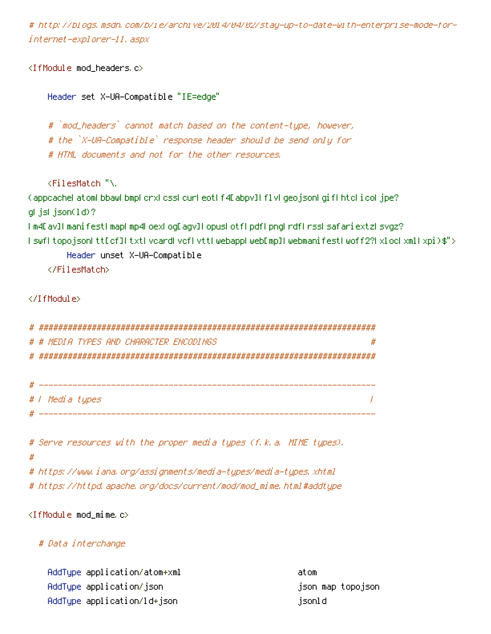# http://blogs.msdn.com/b/ie/archive/2014/04/02/stay-up-to-date-with-enterprise-mode-forinternet-explorer-11. aspx

<IfModule mod\_headers.c>

Header set X-UA-Compatible "IE=edge"

# `mod\_headers` cannot match based on the content-type, however, # the `X-UA-Compatible` response header should be send only for # HTML documents and not for the other resources.

KFilesMatch "\.

(appcachel atoml bbawl bmpl crxl cssl curl eotl f4D abpv]l flvl geojsonl gifl htcl i col jpe?  $qI$  jsl json $(1d)$ ?

```
Im4Eav]ImanifestImapLmp4LoexLogEagv]LopusLotfLpdfLpngLrdfLrssLsafariextzLsvgz?
I swfl topojsonLttEcfJLtxtLvcardLvcfLvttLwebappLwebEmpILwebmanifestLwoff2?LxLocLxmlLxpi)$">
```
Header unset X-UA-Compatible

</FilesMatch>

 $\langle$ /IfModule $\rangle$ 

```
-

# # MEDIA TYPES AND CHARACTER ENCODINGS
                  #
-
```

| # |                 |
|---|-----------------|
|   | # / Media types |
| # |                 |

```
# Serve resources with the proper media types (f.k.a. MIME types).
#
# https://www.iana.org/assignments/media-types/media-types.xhtml
```
# https://httpd.apache.org/docs/current/mod/mod\_mime.html#addtype

<IfModule mod\_mime.c>

#### # Data interchange

| AddType application/atom+xml | atom              |
|------------------------------|-------------------|
| AddType application/json     | json map topojson |
| AddType application/ld+json  | jsonld            |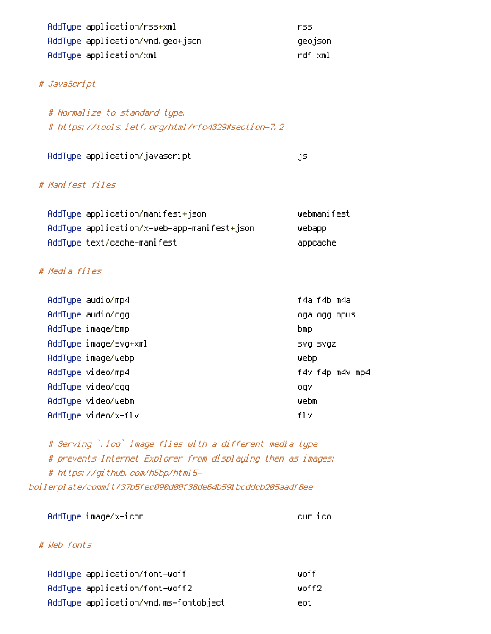| AddType application/rss+xml      | rss.    |  |
|----------------------------------|---------|--|
| AddType application/vnd.geo+json | geojson |  |
| AddType application/xml          | rdf xml |  |

# # JavaScript

# Normalize to standard type. # https://tools.ietf.org/html/rfc4329#section-7.2

| AddType application/javascript |  |
|--------------------------------|--|
|                                |  |

#### js.

### # Manifest files

| AddType application/manifest+ison           | webmanifest |
|---------------------------------------------|-------------|
| AddType application/x—web—app—manifest+json | webapp      |
| AddType text/cache—manifest                 | appcache    |

## # Media files

| AddType audio/mp4     | f4a f4b m4a     |
|-----------------------|-----------------|
| AddType audio/ogg     | oga ogg opus    |
| AddType image/bmp     | <b>bmp</b>      |
| AddType image/svg+xml | SVQ SVQZ        |
| AddTupe image/webp    | webp            |
| AddType video/mp4     | f4v f4p m4v mp4 |
| AddType video/ogg     | ogy             |
| AddTupe video/webm    | webm            |
| AddTupe video/x-flv   | fl v            |

# Serving `.ico` image files with a different media type # prevents Internet Explorer from displaying then as images: # https://github.com/h5bp/html5boilerplate/commit/37b5fec090d00f38de64b591bcddcb205aadf8ee

AddType image/x-icon

cur ico

### # Web fonts

| AddType application/font-woff         | liinf f    |
|---------------------------------------|------------|
| AddType application/font-woff2        | liinf f 2. |
| AddType application/vnd.ms-fontobject | ent.       |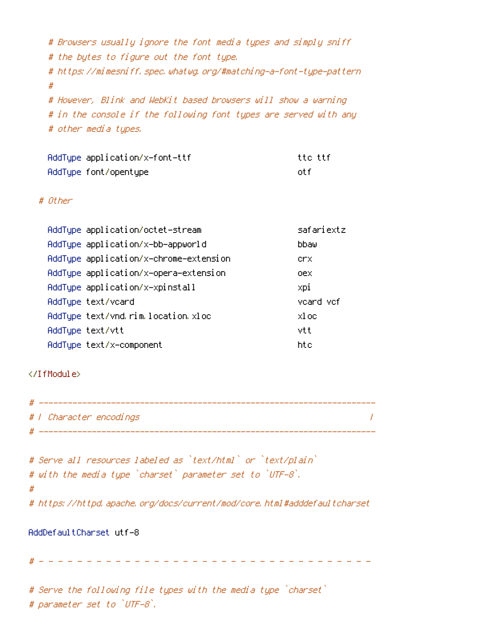# Browsers usually ignore the font media types and simply sniff # the bytes to figure out the font type. # https://mimesniff.spec.whatwg.org/#matching-a-font-type-pattern  $#$ # However, Blink and WebKit based browsers will show a warning # in the console if the following font types are served with any # other media types.

| AddType application/x-font-ttf | tte ttf |
|--------------------------------|---------|
| AddType font/opentype          | nt f    |

#### # Other

| AddType application/octet-stream       | safariextz |
|----------------------------------------|------------|
| AddTupe application/x-bb-appworld      | bbaw       |
| AddType application/x-chrome-extension | crx.       |
| AddType application/x-opera-extension  | oex        |
| AddType application/x-xpinstall        | xpi        |
| AddTupe text/vcard                     | veard vef  |
| AddType text/vnd.rim.location.xloc     | xl oc      |
| AddTupe text/vtt                       | vtt        |
| AddTupe text/x-component               | htc        |

### </IfModule>

| #   |                         |  |
|-----|-------------------------|--|
|     | # / Character encodings |  |
| -44 |                         |  |

```
# Serve all resources labeled as `text/html` or `text/plain`
# with the media type `charset` parameter set to `UTF-8`.
## https://httpd.apache.org/docs/current/mod/core.html#adddefaultcharset
```
#### AddDefaultCharset utf-8

# Serve the following file types with the media type `charset` # parameter set to `UTF-8`.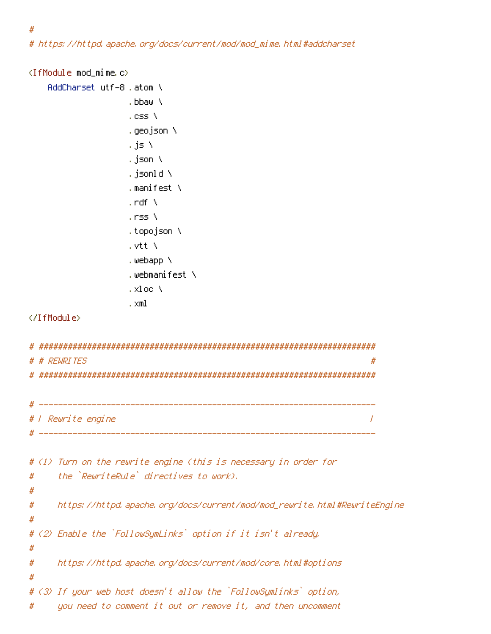#

# https://httpd.apache.org/docs/current/mod/mod\_mime.html#addcharset

```
<IfModule mod_mime.c>
   AddCharset utf-8, atom \
                 .bbaw ∖
                 , css \lambda,qeojson ∖
                 , js N
                 , json N
                 , jsonld \
                 . manifest \setminus, \mathsf{rdf} \, \setminus, rss \lambda, topojson \
                 , vtt N
                 , webapp \
                 .webmanifest \
                 .xloc \
                 . \times m1</IfModule>
# # REWRITES
                                                            #_______________
                   # | Rewrite engine
                                                            \prime__________________
                      # (1) Turn on the rewrite engine (this is necessary in order for
     the `RewriteRule` directives to work).
#
#
     https://httpd.apache.org/docs/current/mod/mod_rewrite.html#RewriteEngine
#
#
# (2) Enable the `FollowSymLinks` option if it isn't already.
#
     https://httpd.apache.org/docs/current/mod/core.html#options
#
#
# (3) If your web host doesn't allow the `FollowSymlinks` option,
     you need to comment it out or remove it, and then uncomment
#
```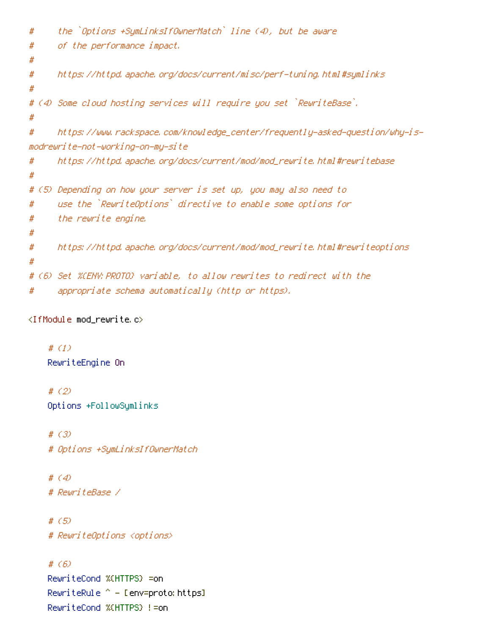```
the `Options +SumLinksIfOwnerMatch` line (4), but be aware
##of the performance impact.
#
#https://httpd.apache.org/docs/current/misc/perf-tuning.html#symlinks
#
# (4) Some cloud hosting services will require you set `RewriteBase`.
#https://www.rackspace.com/knowledge_center/frequently-asked-question/why-is-
#modrewrite-not-working-on-my-site
      https://httpd.apache.org/docs/current/mod/mod_rewrite.html#rewritebase
##
# (5) Depending on how your server is set up, you may also need to
      use the `RewriteOptions` directive to enable some options for
#
      the rewrite engine.
#
#
      https://httpd.apache.org/docs/current/mod/mod_rewrite.html#rewriteoptions
#
#
# (6) Set %(ENV:PROTO) variable, to allow rewrites to redirect with the
      appropriate schema automatically (http or https).
#
```

```
<IfModule mod_rewrite.c>
```
# $(1)$ RewriteEngine On

#  $(2)$ Options +FollowSumlinks

#  $(3)$ # Options +SymLinksIfOwnerMatch

#  $(4)$ # RewriteBase /

#  $(5)$ # RewriteOptions <options>

## #  $(6)$

RewriteCond %(HTTPS) =on RewriteRule ^ – [env=proto: https] RewriteCood %(HIIPS) !=on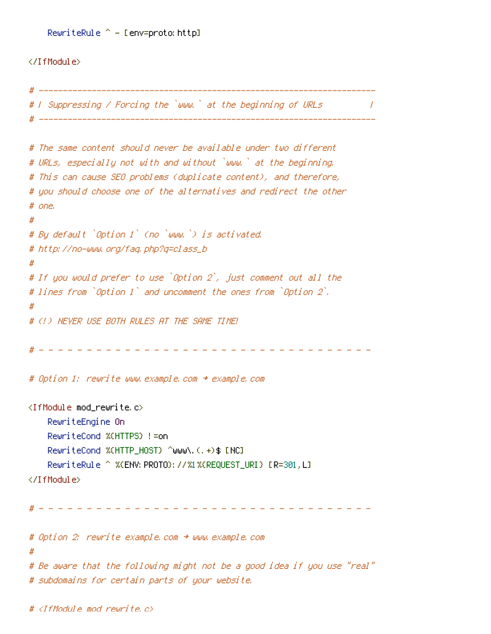```
RewriteRule ^ - [env=proto: http]
```
### </IfModule>

```
# I Suppressing / Forcing the `www.` at the beginning of URLs =
                                                        \overline{\phantom{a}}# The same content should never be available under two different
# URLs, especially not with and without `www.` at the beginning.
# This can cause SEO problems (duplicate content), and therefore,
# you should choose one of the alternatives and redirect the other
# one.
## By default `Option 1` (no `www.`) is activated.
# http://no-www.org/faq.php?q=class_b
#
# If you would prefer to use `Option 2`, just comment out all the
# lines from `Option 1` and uncomment the ones from `Option 2`.
#
# (!) NEVER USE BOTH RULES AT THE SAME TIME!
# Option 1: rewrite www.example.com + example.com
<IfModule mod rewrite.c>
   RewriteEngine On
   RewriteCond %(HTTPS) != on
   RewriteCond %(HTTP HOST) ^www\.(,+)$ [NC]
   </IfModule>
 # Option 2: rewrite example.com + www.example.com
#
# Be aware that the following might not be a good idea if you use "real"
# subdomains for certain parts of your website.
```
# <IfModule mod rewrite.c>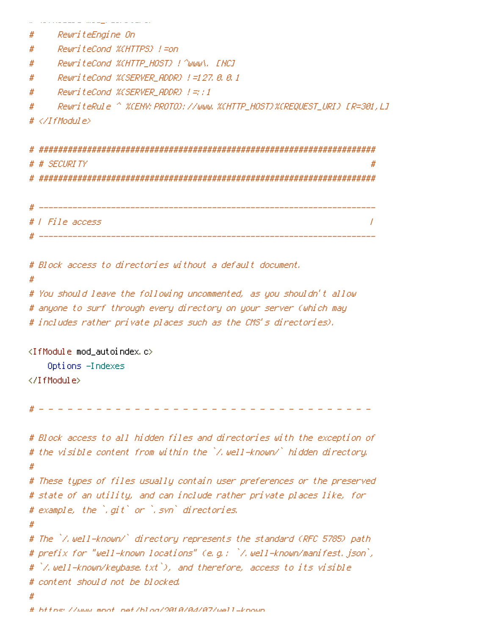```
and a communities of the sense of the sense of the sense of
   RewriteEngine On
#
    RewriteCond %(HTTPS) !=on
#
    ReuriteCond %CHTTP_HOST} ! ^www\, [NC]
#
    ReuriteCond %(SERVER_ADDR) !=127.8.8.1
#
    ReuriteCond %(SERVER_ADDR) !=::1
#
    #
\# </IfModule>
 # # SECURITY
# | File access
                                                       \prime# Block access to directories without a default document.
#
# You should leave the following uncommented, as you shouldn't allow
# anyone to surf through every directory on your server (which may
# includes rather private places such as the CMS's directories).
<IfModule mod_autoindex.c>
   Options -Indexes
</IfModule>
 # Block access to all hidden files and directories with the exception of
# the visible content from within the `/.well-known/` hidden directory.
#
# These types of files usually contain user preferences or the preserved
# state of an utility, and can include rather private places like, for
# example, the `.git` or `.svn` directories.
#
# The "/.well-known/" directory represents the standard (RFC 5785) path
# prefix for "well-known locations" (e.g.: `/.well-known/manifest.json`,
# `/.well-known/keybase.txt`), and therefore, access to its visible
# content should not be blocked.
```
https://www.mpot.pet/blog/9818/8d/87/well-known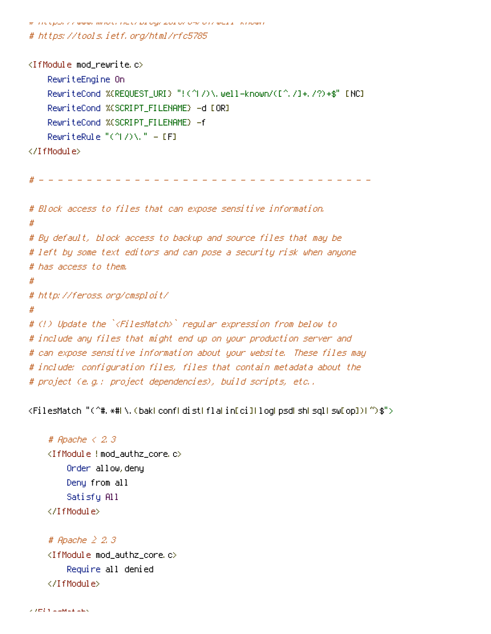.<br>בושטרות - בבשט לה שששה וודוסינה רוכבת בין סקר בכם כת כיודים הרשכבו - אדונישור

# https://tools.ietf.org/html/rfc5785

<IfModule mod\_rewrite <mark>c></mark> RewriteEngine On RewriteCond %(REQUEST\_URI) "!(^I/)\.well-known/([^./]+./?)+\$" [NC] RewriteCond %(SCRIPT\_FILENAME) -d [OR] RewriteCond %(SCRIPT\_FILENAME) -f RewriteRule " $($   $\uparrow$   $/$   $\rangle$   $\setminus$  "  $-$  [F]

</IfModule>

Ħ

- - - - - - - - - - - - - - - - - - - - - - - - - - - - - - - - - - - # Block access to files that can expose sensitive information.  $#$ # By default, block access to backup and source files that may be

# left by some text editors and can pose a security risk when anyone # has access to them.

# http://feross.org/cmsploit/

 $\boldsymbol{\#}$ # (!) Update the `<FilesMatch>` regular expression from below to # include any files that might end up on your production server and # can expose sensitive information about your website. These files may # include: configuration files, files that contain metadata about the # project (e.g.: project dependencies), build scripts, etc..

(FilesMatch "(^#,\*#L\,(bakLconfLdistLflaLin[ci]LlogLpsdLshLsqlLsw[op])[^)\$">

```
# Apache \leq 2, 3
-
-
 /	69=	

   Order allow, deny
   Deny from all
   Satisfy All
</IfModule>
```

```
# Apache \geq 2,3<IfModule mod_authz_core.c>
    Require all denied
</IfModule>
```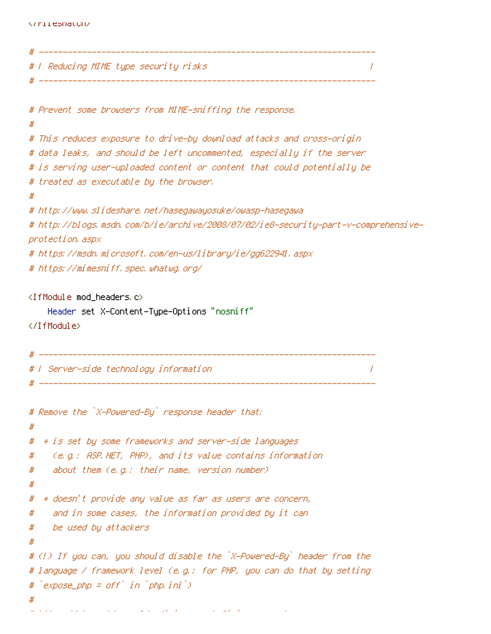```
# ---------------------------
# | Reducing MIME type security risks
                                                                    \overline{1}# ----------------------
# Prevent some browsers from MIME-sniffing the response.
#
# This reduces exposure to drive-by download attacks and cross-origin
# data leaks, and should be left uncommented, especially if the server
# is serving user-uploaded content or content that could potentially be
# treated as executable by the browser.
# http://www.slideshare.net/hasegawayosuke/owasp-hasegawa
# http://blogs.msdn.com/b/ie/archive/2008/07/02/ie8-security-part-v-comprehensive-
protection, aspx
# https://msdn.microsoft.com/en-us/library/ie/gg622941.aspx
# https://mimesniff.spec.whatwg.org/
<IfModule mod headers.c>
    Header set X–Content–Type–Options "nosniff"
</IfModule>
 # | Server-side technology information |
                                                                     \prime# ----------------------
# Remove the `X-Powered-By` response header that:
#* is set by some frameworks and server-side languages
#
    (e.g.: ASP.NET, PHP), and its value contains information
#
    about them (e.g.: their name, version number)
#
#
```

```
* doesn't provide any value as far as users are concern,
#
```

```
and in some cases, the information provided by it can
#
```

```
be used by attackers
#
```

```
#
```

```
# (!) If you can, you should disable the `X-Powered-By` header from the
# language / framework level (e.g.: for PHP, you can do that by setting
# `expose_php = off` in `php.ini`)
```

```
the property of the property of
```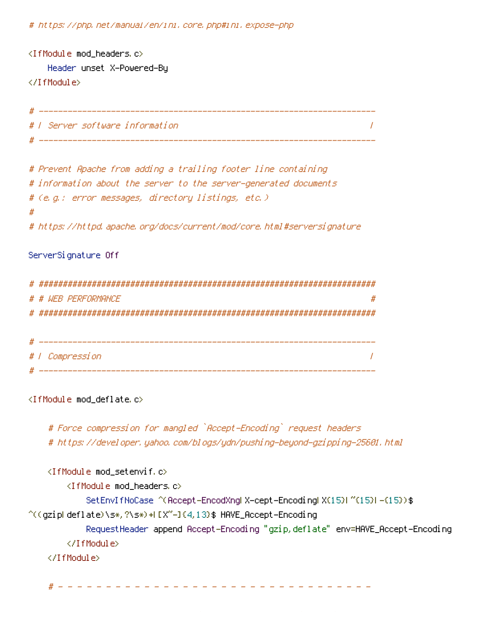# https://php.net/manual/en/ini.core.php#ini.expose-php

```
<IfModule mod_headers.c>
  Header unset X-Powered-By
</IfModule>
               # ------------------
```
 $\prime$ 

```
# Prevent Apache from adding a trailing footer line containing
# information about the server to the server-generated documents
# (e.g.: error messages, directory listings, etc.)
## https://httpd.apache.org/docs/current/mod/core.html#serversignature
```
#### ServerSignature Off

# | Server software information |

| # |                     |
|---|---------------------|
|   | # # WEB PERFORMANCE |
|   |                     |
|   |                     |
|   |                     |
|   | # / Compression     |
|   |                     |

<IfModule mod\_deflate.c>

# Force compression for mangled `Accept-Encoding` request headers # https://developer.yahoo.com/blogs/ydn/pushing-beyond-gzipping-25601.html

<IfModule mod\_setenvif.c> <IfModule mod\_headers.c> SetEnvIfNoCase ^(Accept-EncodXngl X-cept-Encodingl X(15)1 ^(15)1-(15)) \$ ^((gzipLdeflate)\s\*,?\s\*)+L{X~-I{4,13}\$ HAVE\_Accept-Encoding RequestHeader append Accept-Encoding "gzip,deflate" env=HAVE\_Accept-Encoding </IfModule> </IfModule>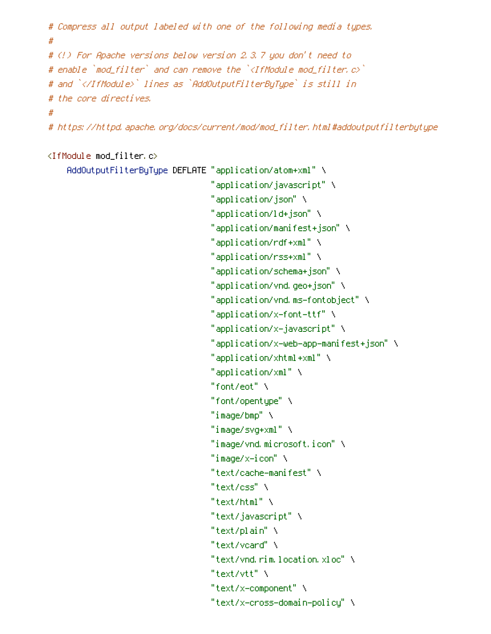```
# Compress all output labeled with one of the following media types.
## (!) For Apache versions below version 2.3.7 you don't need to
# enable `mod_filter` and can remove the `<IfModule mod_filter.c>`
# and `</IfModule>` lines as `AddOutputFilterByTupe` is still in
# the core directives.
\boldsymbol{\#}# https://httpd.apache.org/docs/current/mod/mod_filter.html#addoutputfilterbytype
```
### <IfModule mod filter.c>

```
AddOutputFilterByType DEFLATE "application/atom+xml" \
                              "application/javascript" \
                              "application/json" \
                              "application/ld+json" \
                              "application/manifest+json" \
                              "application/rdf+xml" \
                              "application/rss+xml" \
                              "application/schema+json" \
                              "application/vnd.geo+json" \
                              "application/vnd.ms-fontobject" \
                              "application/x-font-ttf" \
                              "application/x-javascript" \
                              "application/x-web-app-manifest+json" \
                              "application/xhtml+xml" \
                              "application/xml" \
                              "font/ent" \lambda"font/opentupe"\
                              "image/bmp" \
                              "image/svg+xml" \
                              "image/vnd.microsoft.icon" \
                              "image/x-icon" \
                              "text/cache-manifest" \
                              "text/css" \
                              "text/html" \
                              "text/javascript" \
                              "text/plain" \
                              "text/voard" \
                              "text/vnd.rim.location.xloc" \
                              "text/vtt" \
                              "text/x-component" \
                              "text/x-cross-domain-policy" \
```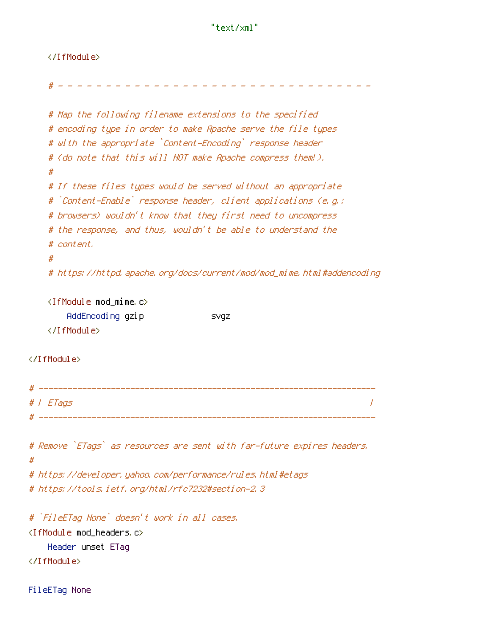## </IfModule>

```
# Map the following filename extensions to the specified
   # encoding type in order to make Apache serve the file types
   # with the appropriate `Content-Encoding` response header
   # (do note that this will NOT make Apache compress them!).
   ## If these files types would be served without an appropriate
   # `Content-Enable` response header, client applications (e.g.:
   # browsers) wouldn't know that they first need to uncompress
   # the response, and thus, wouldn't be able to understand the
   # content.
   ## https://httpd.apache.org/docs/current/mod/mod_mime.html#addencoding
   \langleIfModule mod mime.c\rangleAddEncoding gzip
                        and the state of SVGZ.
   </IfModule>
</IfModule>
# T ETags
                                                                \prime# Remove `ETags` as resources are sent with far-future expires headers.
# https://developer.yahoo.com/performance/rules.html#etags
# https://tools.ietf.org/html/rfc7232#section-2.3
# `FileETag None` doesn't work in all cases.
<IfModule mod_headers.c>
   Header unset ETag
```
</IfModule>

 $#$ 

FileETag None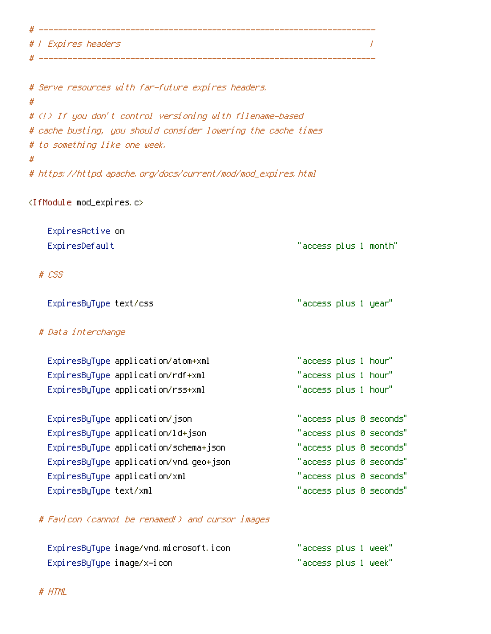# | Expires headers

# -----------

|   | # Serve resources with far-future expires headers.            |
|---|---------------------------------------------------------------|
| # |                                                               |
|   | # (!) If you don't control versioning with filename-based     |
|   | # cache busting, you should consider lowering the cache times |
|   | # to something like one week.                                 |
| # |                                                               |
|   | # https://httpd.apache.org/docs/current/mod/mod_expires.html  |
|   |                                                               |

 $\overline{1}$ 

# <IfModule mod\_expires.c>

| ExpiresActive on<br>ExpiresDefault                                      | "access plus 1 month"                        |
|-------------------------------------------------------------------------|----------------------------------------------|
| # CSS                                                                   |                                              |
| ExpiresByType text/css                                                  | "access plus 1 year"                         |
| # Data interchange                                                      |                                              |
| ExpiresByType application/atom+xml<br>ExpiresByType application/rdf+xml | "access plus 1 hour"<br>"access plus 1 hour" |
| ExpiresByType application/rss+xml                                       | "access plus 1 hour"                         |
| ExpiresByType application/json                                          | "access plus 0 seconds"                      |
| ExpiresByType application/ld+json                                       | "access plus 0 seconds"                      |
| ExpiresByType application/schema+json                                   | "access plus 0 seconds"                      |
| ExpiresByType application/vnd.geo+json                                  | "access plus 0 seconds"                      |
| ExpiresByType application/xml                                           | "access plus 0 seconds"                      |
| ExpiresByType text/xml                                                  | "access plus 0 seconds"                      |
|                                                                         |                                              |

# Favicon (cannot be renamed!) and cursor images

| ExpiresByType image/vnd.microsoft.icon | "access plus 1 week" |
|----------------------------------------|----------------------|
| ExpiresByType image/x-icon             | "access plus 1 week" |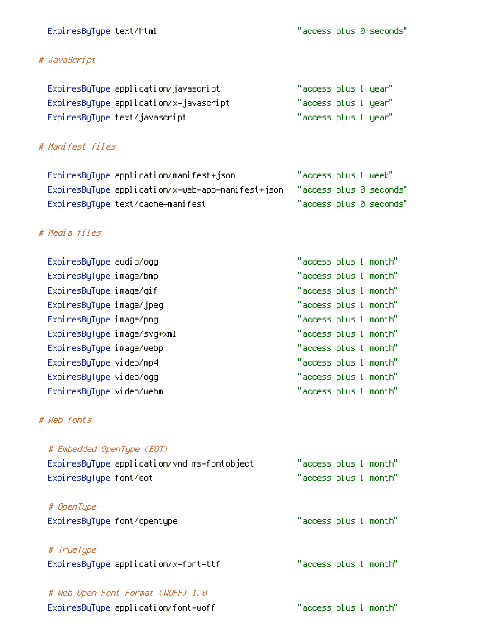# ExpiresByType text/html

"access plus 0 seconds"

# # JavaScript

| ExpiresByType application/javascript   | "access plus 1 year". |  |
|----------------------------------------|-----------------------|--|
| ExpiresByType application/x-javascript | "access plus 1 year". |  |
| ExpiresByType text/javascript          | "access plus 1 year". |  |

# # Manifest files

| ExpiresByType application/manifest+ison                                   | "access plus 1 week"    |
|---------------------------------------------------------------------------|-------------------------|
| ExpiresByType application/x-web-app-manifest+json "access plus 0 seconds" |                         |
| ExpiresByType text/cache-manifest                                         | "access plus 0 seconds" |

# # Media files

| Expi resByType audio/ogg    | "access plus 1 month" |  |
|-----------------------------|-----------------------|--|
| ExpiresByType image/bmp     | "access plus 1 month" |  |
| ExpiresByType image/gif     | "access plus 1 month" |  |
| ExpiresByType image/jpeg    | "access plus 1 month" |  |
| ExpiresByType image/png     | "access plus 1 month" |  |
| ExpiresByType image/svg+xml | "access plus 1 month" |  |
| ExpiresByType image/webp    | "access plus 1 month" |  |
| ExpiresByType video/mp4     | "access plus 1 month" |  |
| ExpiresByType video/ogg     | "access plus 1 month" |  |
| ExpiresByType video/webm    | "access plus 1 month" |  |

# # Web fonts

| # Embedded OpenType (EOT)<br>ExpiresByType application/vnd.ms-fontobject<br>ExpiresByType font/eot | "access plus 1 month"<br>"access plus 1 month" |
|----------------------------------------------------------------------------------------------------|------------------------------------------------|
| # OpenType<br>ExpiresByType font/opentype                                                          | "access plus 1 month"                          |
| # TrueType<br>ExpiresByType application/x-font-ttf                                                 | "access plus 1 month"                          |
| # Web Open Font Format (WOFF) 1.0<br>ExpiresByType application/font-woff                           | "access plus 1 month"                          |